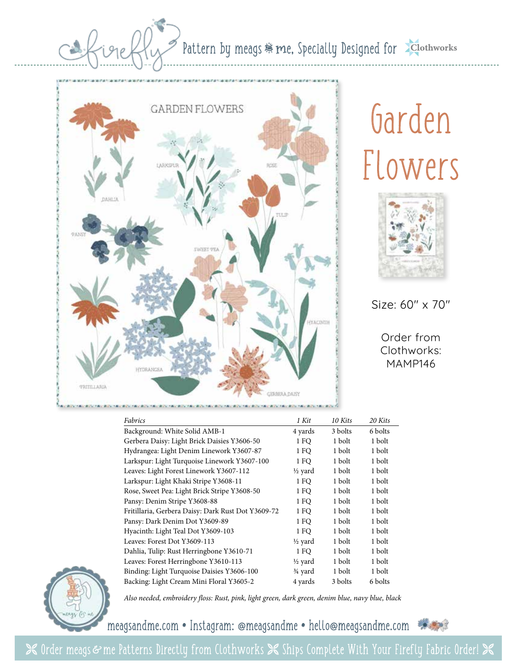### Pattern by meags  $m$ e, Specially Designed for **Sclothworks**



# Garden Flowers



Size: 60" x 70"

Order from Clothworks: MAMP146

| Fabrics                                            | 1 Kit              | 10 Kits | 20 Kits |
|----------------------------------------------------|--------------------|---------|---------|
| Background: White Solid AMB-1                      | 4 yards            | 3 bolts | 6 bolts |
| Gerbera Daisy: Light Brick Daisies Y3606-50        | 1 FO               | 1 bolt  | 1 bolt  |
| Hydrangea: Light Denim Linework Y3607-87           | 1 FO               | 1 bolt  | 1 bolt  |
| Larkspur: Light Turquoise Linework Y3607-100       | 1 FO               | 1 bolt  | 1 bolt  |
| Leaves: Light Forest Linework Y3607-112            | 1/2 yard           | 1 bolt  | 1 bolt  |
| Larkspur: Light Khaki Stripe Y3608-11              | 1 FO               | 1 bolt  | 1 bolt  |
| Rose, Sweet Pea: Light Brick Stripe Y3608-50       | 1 FO               | 1 bolt  | 1 bolt  |
| Pansy: Denim Stripe Y3608-88                       | 1 FO               | 1 bolt  | 1 bolt  |
| Fritillaria, Gerbera Daisy: Dark Rust Dot Y3609-72 | 1 FO               | 1 bolt  | 1 bolt  |
| Pansy: Dark Denim Dot Y3609-89                     | 1 FO               | 1 bolt  | 1 bolt  |
| Hyacinth: Light Teal Dot Y3609-103                 | 1 FO               | 1 bolt  | 1 bolt  |
| Leaves: Forest Dot Y3609-113                       | $\frac{1}{2}$ yard | 1 bolt  | 1 bolt  |
| Dahlia, Tulip: Rust Herringbone Y3610-71           | 1 FO               | 1 bolt  | 1 bolt  |
| Leaves: Forest Herringbone Y3610-113               | $\frac{1}{2}$ yard | 1 bolt  | 1 bolt  |
| Binding: Light Turquoise Daisies Y3606-100         | 3⁄4 yard           | 1 bolt  | 1 bolt  |
| Backing: Light Cream Mini Floral Y3605-2           | 4 yards            | 3 bolts | 6 bolts |



*Also needed, embroidery floss: Rust, pink, light green, dark green, denim blue, navy blue, black*

meagsandme.com **•** Instagram: @meagsandme **•** hello@meagsandme.com



 $\Join$  Order meags & me Patterns Directly from Clothworks  $\Join$  Ships Complete With Your Firefly Fabric Order!  $\Join$